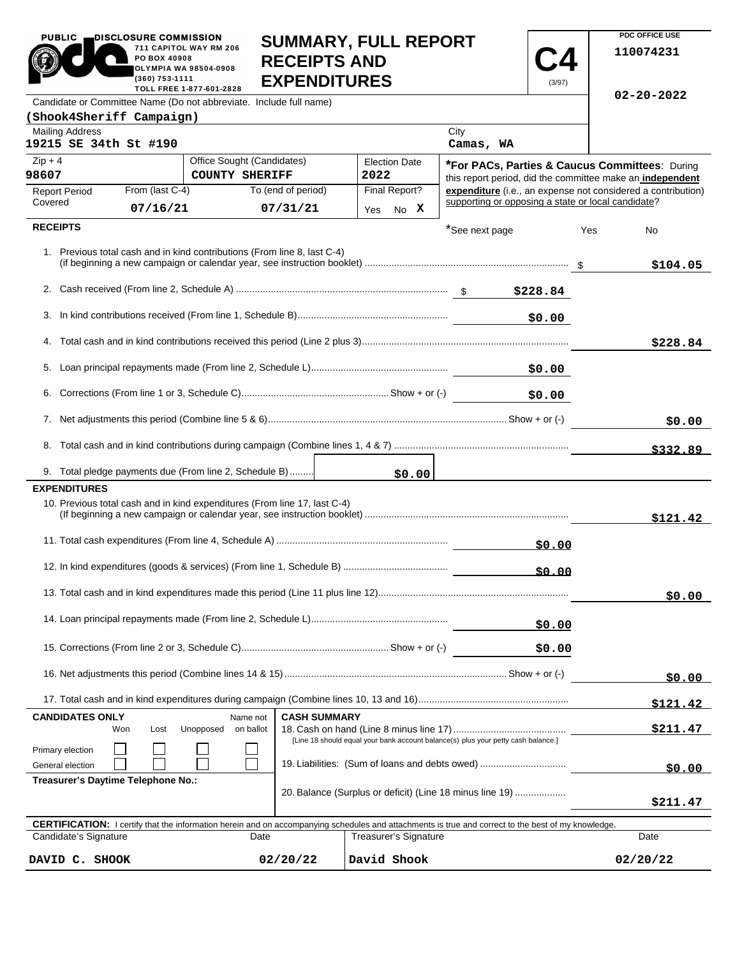| <b>PUBLIC</b><br>DISCLOSURE COMMISSION                                                                                                                                       |                                                                                   |                                            | <b>SUMMARY, FULL REPORT</b> |                                                    |          | PDC OFFICE USE                                               |          |
|------------------------------------------------------------------------------------------------------------------------------------------------------------------------------|-----------------------------------------------------------------------------------|--------------------------------------------|-----------------------------|----------------------------------------------------|----------|--------------------------------------------------------------|----------|
|                                                                                                                                                                              | 711 CAPITOL WAY RM 206<br>PO BOX 40908<br>OLYMPIA WA 98504-0908<br>(360) 753-1111 | <b>RECEIPTS AND</b><br><b>EXPENDITURES</b> |                             |                                                    | (3/97)   | 110074231                                                    |          |
| TOLL FREE 1-877-601-2828<br>Candidate or Committee Name (Do not abbreviate. Include full name)                                                                               |                                                                                   |                                            |                             |                                                    |          | $02 - 20 - 2022$                                             |          |
| (Shook4Sheriff Campaign)                                                                                                                                                     |                                                                                   |                                            |                             |                                                    |          |                                                              |          |
| <b>Mailing Address</b><br>19215 SE 34th St #190                                                                                                                              |                                                                                   |                                            |                             | City<br>Camas, WA                                  |          |                                                              |          |
| $Zip + 4$                                                                                                                                                                    | Office Sought (Candidates)                                                        |                                            | <b>Election Date</b>        |                                                    |          | *For PACs, Parties & Caucus Committees: During               |          |
| 98607                                                                                                                                                                        | <b>COUNTY SHERIFF</b>                                                             |                                            | 2022                        |                                                    |          | this report period, did the committee make an independent    |          |
| From (last C-4)<br><b>Report Period</b><br>Covered                                                                                                                           |                                                                                   | To (end of period)                         | Final Report?               | supporting or opposing a state or local candidate? |          | expenditure (i.e., an expense not considered a contribution) |          |
| 07/16/21                                                                                                                                                                     |                                                                                   | 07/31/21                                   | Yes No X                    |                                                    |          |                                                              |          |
| <b>RECEIPTS</b>                                                                                                                                                              |                                                                                   |                                            |                             | *See next page                                     |          | Yes<br>No.                                                   |          |
| 1. Previous total cash and in kind contributions (From line 8, last C-4)                                                                                                     |                                                                                   |                                            |                             |                                                    |          | \$104.05                                                     |          |
|                                                                                                                                                                              |                                                                                   |                                            |                             |                                                    |          |                                                              |          |
|                                                                                                                                                                              |                                                                                   |                                            |                             |                                                    | \$0.00   |                                                              |          |
|                                                                                                                                                                              |                                                                                   |                                            |                             |                                                    |          | \$228.84                                                     |          |
|                                                                                                                                                                              |                                                                                   |                                            |                             |                                                    | \$0.00   |                                                              |          |
|                                                                                                                                                                              |                                                                                   |                                            |                             |                                                    | \$0.00   |                                                              |          |
|                                                                                                                                                                              |                                                                                   |                                            |                             |                                                    |          |                                                              | \$0.00   |
|                                                                                                                                                                              |                                                                                   |                                            |                             |                                                    |          | \$332.89                                                     |          |
| 9. Total pledge payments due (From line 2, Schedule B)                                                                                                                       |                                                                                   |                                            | \$0.00                      |                                                    |          |                                                              |          |
| <b>EXPENDITURES</b>                                                                                                                                                          |                                                                                   |                                            |                             |                                                    |          |                                                              |          |
| 10. Previous total cash and in kind expenditures (From line 17, last C-4)                                                                                                    |                                                                                   |                                            |                             |                                                    |          |                                                              | \$121.42 |
|                                                                                                                                                                              |                                                                                   |                                            |                             |                                                    | \$0.00   |                                                              |          |
|                                                                                                                                                                              |                                                                                   |                                            |                             |                                                    | \$0.00   |                                                              |          |
|                                                                                                                                                                              |                                                                                   |                                            |                             |                                                    |          |                                                              | \$0.00   |
|                                                                                                                                                                              |                                                                                   |                                            |                             |                                                    |          |                                                              |          |
|                                                                                                                                                                              |                                                                                   |                                            |                             |                                                    | \$0.00   |                                                              |          |
|                                                                                                                                                                              |                                                                                   |                                            |                             |                                                    | \$0.00   |                                                              |          |
|                                                                                                                                                                              |                                                                                   |                                            |                             |                                                    |          |                                                              | \$0.00   |
|                                                                                                                                                                              |                                                                                   |                                            |                             |                                                    |          | \$121.42                                                     |          |
| <b>CANDIDATES ONLY</b>                                                                                                                                                       | Name not                                                                          | <b>CASH SUMMARY</b>                        |                             |                                                    |          |                                                              |          |
| Unopposed<br>on ballot<br>Won<br>Lost<br>[Line 18 should equal your bank account balance(s) plus your petty cash balance.]                                                   |                                                                                   |                                            |                             |                                                    | \$211.47 |                                                              |          |
| Primary election<br>19. Liabilities: (Sum of loans and debts owed)<br>General election                                                                                       |                                                                                   |                                            |                             |                                                    |          |                                                              | \$0.00   |
| Treasurer's Daytime Telephone No.:<br>20. Balance (Surplus or deficit) (Line 18 minus line 19)                                                                               |                                                                                   |                                            |                             |                                                    |          |                                                              |          |
|                                                                                                                                                                              |                                                                                   |                                            |                             |                                                    |          | \$211.47                                                     |          |
| CERTIFICATION: I certify that the information herein and on accompanying schedules and attachments is true and correct to the best of my knowledge.<br>Candidate's Signature | Date                                                                              |                                            | Treasurer's Signature       |                                                    |          | Date                                                         |          |
|                                                                                                                                                                              |                                                                                   |                                            |                             |                                                    |          |                                                              |          |

|          | . .          |          |             |          |
|----------|--------------|----------|-------------|----------|
| DAVID C. | <b>SHOOK</b> | 02/20/22 | David Shook | 02/20/22 |
|          |              |          |             |          |